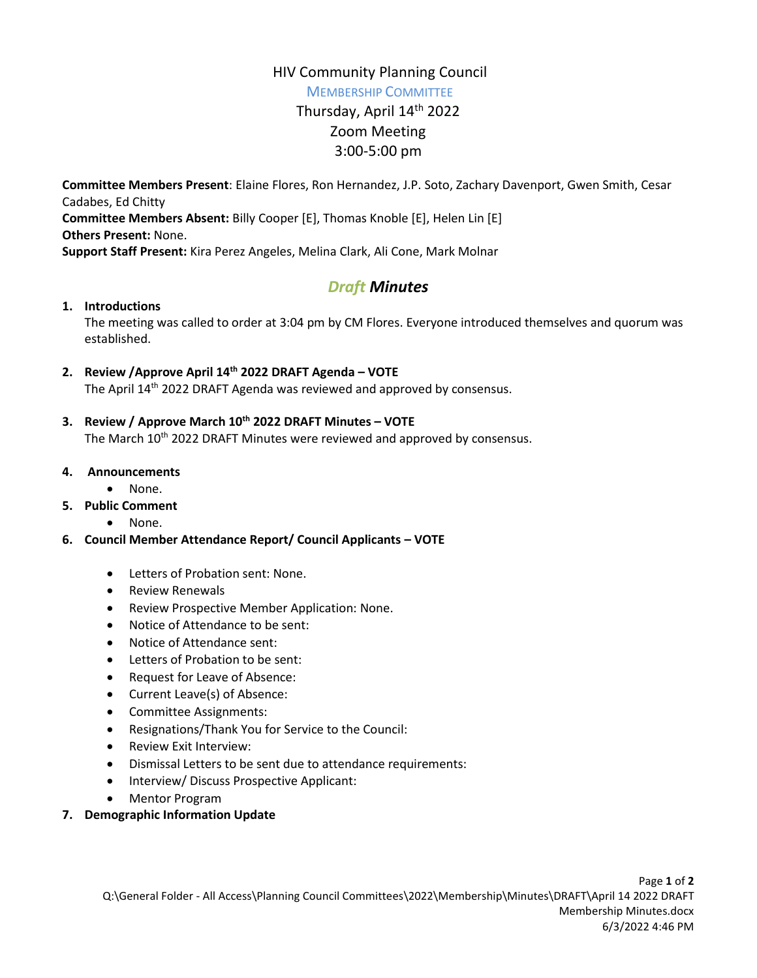# HIV Community Planning Council

MEMBERSHIP COMMITTEE

# Thursday, April 14<sup>th</sup> 2022 Zoom Meeting 3:00-5:00 pm

**Committee Members Present**: Elaine Flores, Ron Hernandez, J.P. Soto, Zachary Davenport, Gwen Smith, Cesar Cadabes, Ed Chitty **Committee Members Absent:** Billy Cooper [E], Thomas Knoble [E], Helen Lin [E] **Others Present:** None.

**Support Staff Present:** Kira Perez Angeles, Melina Clark, Ali Cone, Mark Molnar

# *Draft Minutes*

# **1. Introductions**

The meeting was called to order at 3:04 pm by CM Flores. Everyone introduced themselves and quorum was established.

# **2. Review /Approve April 14th 2022 DRAFT Agenda – VOTE**

The April 14th 2022 DRAFT Agenda was reviewed and approved by consensus.

- **3. Review / Approve March 10th 2022 DRAFT Minutes – VOTE** The March 10<sup>th</sup> 2022 DRAFT Minutes were reviewed and approved by consensus.
- **4. Announcements**
	- None.
- **5. Public Comment**
	- None.
- **6. Council Member Attendance Report/ Council Applicants – VOTE**
	- Letters of Probation sent: None.
	- Review Renewals
	- Review Prospective Member Application: None.
	- Notice of Attendance to be sent:
	- Notice of Attendance sent:
	- Letters of Probation to be sent:
	- Request for Leave of Absence:
	- Current Leave(s) of Absence:
	- Committee Assignments:
	- Resignations/Thank You for Service to the Council:
	- Review Exit Interview:
	- Dismissal Letters to be sent due to attendance requirements:
	- Interview/ Discuss Prospective Applicant:
	- Mentor Program

#### **7. Demographic Information Update**